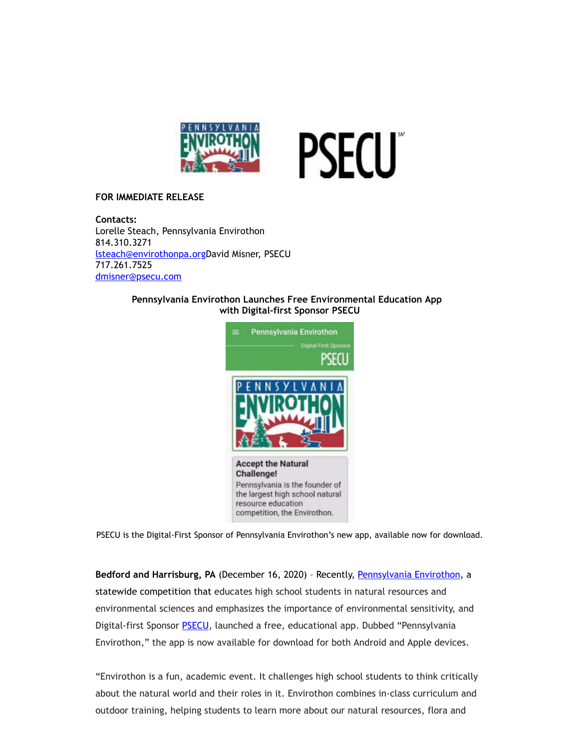

## **FOR IMMEDIATE RELEASE**

**Contacts:** Lorelle Steach, Pennsylvania Envirothon 814.310.3271 [lsteach@envirothonpa.orgD](https://outlook.centrecountypa.gov/owa/redir.aspx?REF=5yrqAglu7nK4RVMXfEQNyzNRnLIRc5ohc2sEqsN9IBytlN8MpKLYCAFtYWlsdG86bHN0ZWFjaEBlbnZpcm90aG9ucGEub3Jn)avid Misner, PSECU 717.261.7525 [dmisner@psecu.com](https://outlook.centrecountypa.gov/owa/redir.aspx?REF=JMk2i4kMD6c4-tjQ1IshxT_iICgzclO9XzPdpsfuwgWtlN8MpKLYCAFtYWlsdG86ZG1pc25lckBwc2VjdS5jb20.)

## **Pennsylvania Envirothon Launches Free Environmental Education App with Digital-first Sponsor PSECU**



PSECU is the Digital-First Sponsor of Pennsylvania Envirothon's new app, available now for download.

**Bedford and Harrisburg, PA** (December 16, 2020) – Recently, [Pennsylvania](https://outlook.centrecountypa.gov/owa/redir.aspx?REF=VgfUYTC7Scf_UNxozrGGJb-qvwp1N6MBsbItSd0jfbOtlN8MpKLYCAFodHRwczovL3d3dy5lbnZpcm90aG9ucGEub3Jn) Envirothon, a statewide competition that educates high school students in natural resources and environmental sciences and emphasizes the importance of environmental sensitivity, and Digital-first Sponsor [PSECU,](https://outlook.centrecountypa.gov/owa/redir.aspx?REF=IIQEeUYFXQZu4bxstvm2j32FSMNHIR7Vf6Y73q1pExCtlN8MpKLYCAFodHRwOi8vd3d3LnBzZWN1LmNvbQ..) launched a free, educational app. Dubbed "Pennsylvania Envirothon," the app is now available for download for both Android and Apple devices.

"Envirothon is a fun, academic event. It challenges high school students to think critically about the natural world and their roles in it. Envirothon combines in-class curriculum and outdoor training, helping students to learn more about our natural resources, flora and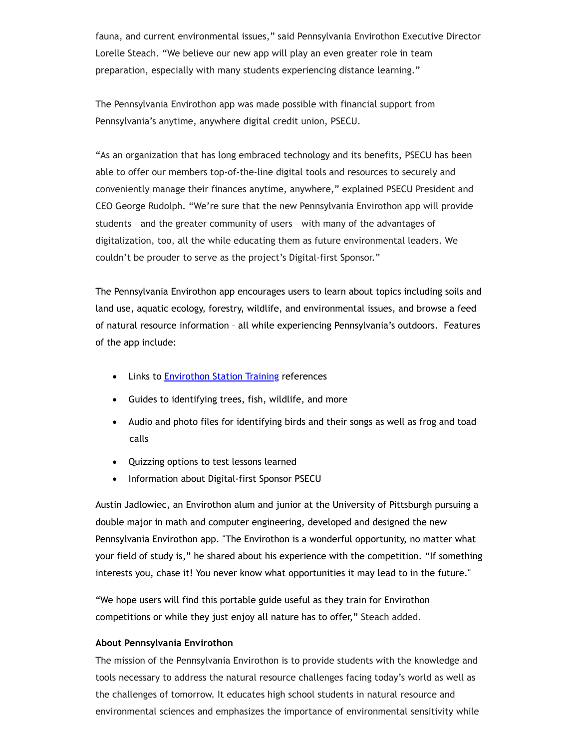fauna, and current environmental issues," said Pennsylvania Envirothon Executive Director Lorelle Steach. "We believe our new app will play an even greater role in team preparation, especially with many students experiencing distance learning."

The Pennsylvania Envirothon app was made possible with financial support from Pennsylvania's anytime, anywhere digital credit union, PSECU.

"As an organization that has long embraced technology and its benefits, PSECU has been able to offer our members top-of-the-line digital tools and resources to securely and conveniently manage their finances anytime, anywhere," explained PSECU President and CEO George Rudolph. "We're sure that the new Pennsylvania Envirothon app will provide students – and the greater community of users – with many of the advantages of digitalization, too, all the while educating them as future environmental leaders. We couldn't be prouder to serve as the project's Digital-first Sponsor."

The Pennsylvania Envirothon app encourages users to learn about topics including soils and land use, aquatic ecology, forestry, wildlife, and environmental issues, and browse a feed of natural resource information – all while experiencing Pennsylvania's outdoors. Features of the app include:

- Links to **[Envirothon](https://outlook.centrecountypa.gov/owa/redir.aspx?REF=Esmtgc_8c6sZUfvK1gfd14B_yYlRTdEYjB5uOanxKx-tlN8MpKLYCAFodHRwczovL3d3dy5lbnZpcm90aG9ucGEub3JnL3N0YXRpb24tdHJhaW5pbmcv) Station Training references**
- · Guides to identifying trees, fish, wildlife, and more
- · Audio and photo files for identifying birds and their songs as well as frog and toad calls
- · Quizzing options to test lessons learned
- · Information about Digital-first Sponsor PSECU

Austin Jadlowiec, an Envirothon alum and junior at the University of Pittsburgh pursuing a double major in math and computer engineering, developed and designed the new Pennsylvania Envirothon app. "The Envirothon is a wonderful opportunity, no matter what your field of study is," he shared about his experience with the competition. "If something interests you, chase it! You never know what opportunities it may lead to in the future."

"We hope users will find this portable guide useful as they train for Envirothon competitions or while they just enjoy all nature has to offer," Steach added.

## **About Pennsylvania Envirothon**

The mission of the Pennsylvania Envirothon is to provide students with the knowledge and tools necessary to address the natural resource challenges facing today's world as well as the challenges of tomorrow. It educates high school students in natural resource and environmental sciences and emphasizes the importance of environmental sensitivity while